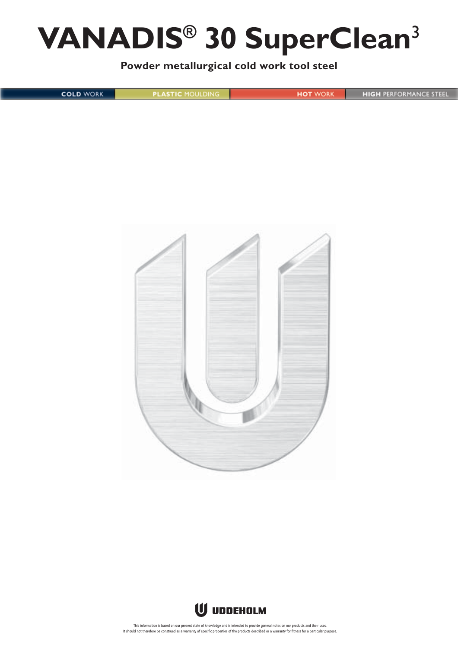# **VANADIS® 30 SuperClean**<sup>3</sup>

**Powder metallurgical cold work tool steel**

**COLD WORK HIGH PERFORMANCE STEEL PLASTIC MOULDING HOT WORK** 





This information is based on our present state of knowledge and is intended to provide general notes on our products and their uses.<br>It should not therefore be construed as a warranty of specific properties of the products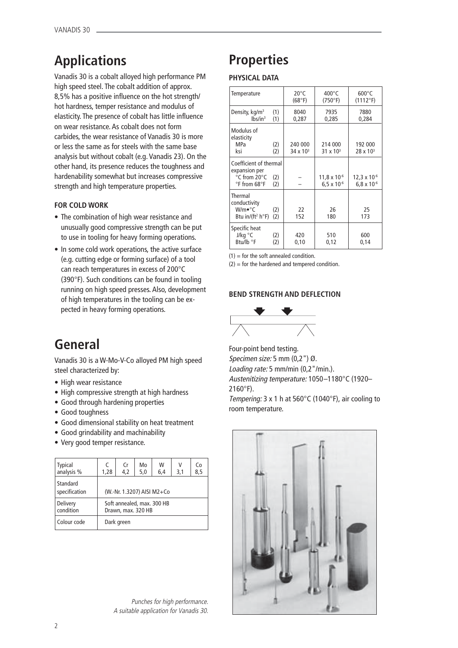## **Applications**

Vanadis 30 is a cobalt alloyed high performance PM high speed steel. The cobalt addition of approx. 8,5% has a positive influence on the hot strength/ hot hardness, temper resistance and modulus of elasticity. The presence of cobalt has little influence on wear resistance. As cobalt does not form carbides, the wear resistance of Vanadis 30 is more or less the same as for steels with the same base analysis but without cobalt (e.g. Vanadis 23). On the other hand, its presence reduces the toughness and hardenability somewhat but increases compressive strength and high temperature properties.

### **FOR COLD WORK**

- The combination of high wear resistance and unusually good compressive strength can be put to use in tooling for heavy forming operations.
- In some cold work operations, the active surface (e.g. cutting edge or forming surface) of a tool can reach temperatures in excess of 200°C (390°F). Such conditions can be found in tooling running on high speed presses. Also, development of high temperatures in the tooling can be expected in heavy forming operations.

## **Properties**

## **PHYSICAL DATA**

| Temperature                                                                                |            | $20^{\circ}$ C<br>(68°F)      | $400^{\circ}$ C<br>(750°F)                    | $600^{\circ}$ C<br>$(1112^{\circ}F)$          |
|--------------------------------------------------------------------------------------------|------------|-------------------------------|-----------------------------------------------|-----------------------------------------------|
| Density, $kg/m3$<br>$lbs/in^3$                                                             | (1)<br>(1) | 8040<br>0,287                 | 7935<br>0,285                                 | 7880<br>0,284                                 |
| Modulus of<br>elasticity<br><b>MPa</b><br>ksi                                              | (2)<br>(2) | 240 000<br>$34 \times 10^{3}$ | 214 000<br>$31 \times 10^{3}$                 | 192 000<br>$28 \times 10^{3}$                 |
| Coefficient of thermal<br>expansion per<br>°C from 20°C<br>$\degree$ F from 68 $\degree$ F | (2)<br>(2) |                               | $11,8 \times 10^{-6}$<br>$6.5 \times 10^{-6}$ | $12,3 \times 10^{-6}$<br>$6,8 \times 10^{-6}$ |
| Thermal<br>conductivity<br>W/m•°C<br>Btu in/(ft <sup>2</sup> h <sup>o</sup> F)             | (2)<br>(2) | 22<br>152                     | 26<br>180                                     | 25<br>173                                     |
| Specific heat<br>J/kg $\degree$ C<br>Btu/lb °F                                             | (2)<br>(2) | 420<br>0,10                   | 510<br>0,12                                   | 600<br>0,14                                   |

 $(1)$  = for the soft annealed condition.

 $(2)$  = for the hardened and tempered condition.

### **BEND STRENGTH AND DEFLECTION**



## **General**

Vanadis 30 is a W-Mo-V-Co alloyed PM high speed steel characterized by:

- High wear resistance
- High compressive strength at high hardness
- Good through hardening properties
- Good toughness
- Good dimensional stability on heat treatment
- Good grindability and machinability
- Very good temper resistance.

| <b>Typical</b><br>analysis % | C<br>1,28                                        | Cr<br>4,2 | Mo<br>5,0 | W<br>6,4 | ٧<br>3,1 | Co<br>8,5 |  |
|------------------------------|--------------------------------------------------|-----------|-----------|----------|----------|-----------|--|
| Standard<br>specification    | (W.-Nr. 1.3207) AISI M2+Co                       |           |           |          |          |           |  |
| Delivery<br>condition        | Soft annealed, max. 300 HB<br>Drawn, max. 320 HB |           |           |          |          |           |  |
| Colour code                  | Dark green                                       |           |           |          |          |           |  |

Punches for high performance. A suitable application for Vanadis 30.

Four-point bend testing. Specimen size: 5 mm (0,2") Ø. Loading rate: 5 mm/min (0,2"/min.). Austenitizing temperature: 1050–1180°C (1920– 2160°F).

Tempering: 3 x 1 h at 560°C (1040°F), air cooling to room temperature.

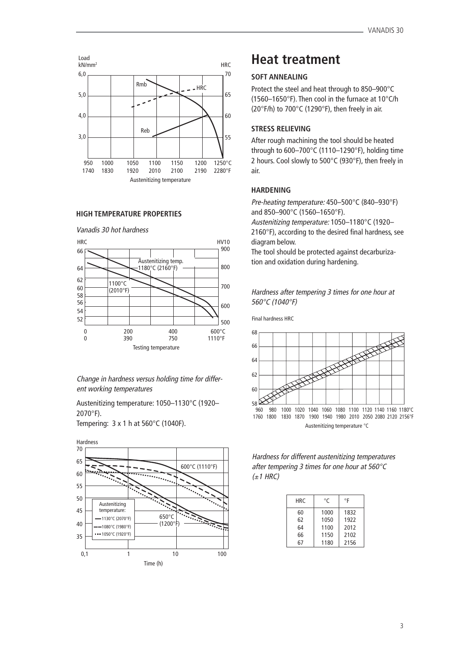

### **HIGH TEMPERATURE PROPERTIES**



Change in hardness versus holding time for different working temperatures

Austenitizing temperature: 1050–1130°C (1920– 2070°F).

Tempering: 3 x 1 h at 560°C (1040F).



## **Heat treatment**

## **SOFT ANNEALING**

Protect the steel and heat through to 850–900°C (1560–1650°F). Then cool in the furnace at 10°C/h (20°F/h) to 700°C (1290°F), then freely in air.

## **STRESS RELIEVING**

After rough machining the tool should be heated through to 600–700°C (1110–1290°F), holding time 2 hours. Cool slowly to 500°C (930°F), then freely in air.

### **HARDENING**

Pre-heating temperature: 450–500°C (840–930°F) and 850–900°C (1560–1650°F).

Austenitizing temperature: 1050–1180°C (1920– 2160°F), according to the desired final hardness, see diagram below.

The tool should be protected against decarburization and oxidation during hardening.

### Hardness after tempering 3 times for one hour at 560°C (1040°F)

Final hardness HRC



Hardness for different austenitizing temperatures after tempering 3 times for one hour at 560°C  $(\pm 1$  HRC)

| HRC | °C   | °F   |
|-----|------|------|
| 60  | 1000 | 1832 |
| 62  | 1050 | 1922 |
| 64  | 1100 | 2012 |
| 66  | 1150 | 2102 |
| 67  | 1180 | 2156 |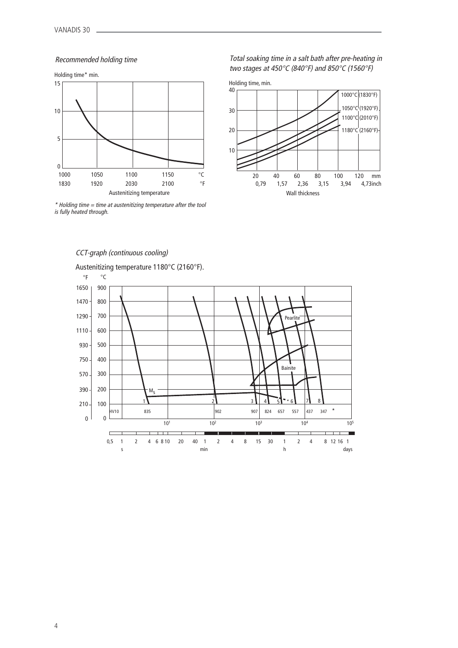## Recommended holding time



 $*$  Holding time  $=$  time at austenitizing temperature after the tool is fully heated through.

Total soaking time in a salt bath after pre-heating in two stages at 450°C (840°F) and 850°C (1560°F)



## CCT-graph (continuous cooling)

Austenitizing temperature 1180°C (2160°F).

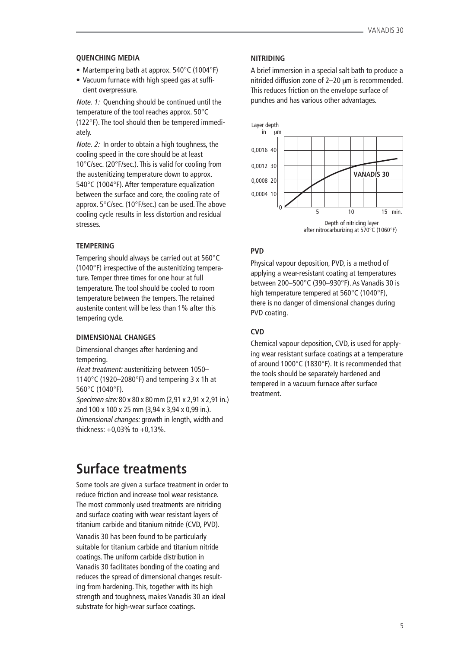### **QUENCHING MEDIA**

- Martempering bath at approx. 540°C (1004°F)
- Vacuum furnace with high speed gas at sufficient overpressure.

Note. 1: Quenching should be continued until the temperature of the tool reaches approx. 50°C (122°F). The tool should then be tempered immediately.

Note. 2: In order to obtain a high toughness, the cooling speed in the core should be at least 10°C/sec. (20°F/sec.). This is valid for cooling from the austenitizing temperature down to approx. 540°C (1004°F). After temperature equalization between the surface and core, the cooling rate of approx. 5°C/sec. (10°F/sec.) can be used. The above cooling cycle results in less distortion and residual stresses.

### **TEMPERING**

Tempering should always be carried out at 560°C (1040°F) irrespective of the austenitizing temperature. Temper three times for one hour at full temperature. The tool should be cooled to room temperature between the tempers. The retained austenite content will be less than 1% after this tempering cycle.

#### **DIMENSIONAL CHANGES**

Dimensional changes after hardening and tempering. Heat treatment: austenitizing between 1050– 1140°C (1920–2080°F) and tempering 3 x 1h at 560°C (1040°F). Specimen size: 80 x 80 x 80 mm (2,91 x 2,91 x 2,91 in.) and 100 x 100 x 25 mm (3,94 x 3,94 x 0,99 in.). Dimensional changes: growth in length, width and thickness: +0,03% to +0,13%.

## **Surface treatments**

Some tools are given a surface treatment in order to reduce friction and increase tool wear resistance. The most commonly used treatments are nitriding and surface coating with wear resistant layers of titanium carbide and titanium nitride (CVD, PVD).

Vanadis 30 has been found to be particularly suitable for titanium carbide and titanium nitride coatings. The uniform carbide distribution in Vanadis 30 facilitates bonding of the coating and reduces the spread of dimensional changes resulting from hardening. This, together with its high strength and toughness, makes Vanadis 30 an ideal substrate for high-wear surface coatings.

#### **NITRIDING**

A brief immersion in a special salt bath to produce a nitrided diffusion zone of 2–20 µm is recommended. This reduces friction on the envelope surface of punches and has various other advantages.



## **PVD**

Physical vapour deposition, PVD, is a method of applying a wear-resistant coating at temperatures between 200–500°C (390–930°F). As Vanadis 30 is high temperature tempered at 560°C (1040°F), there is no danger of dimensional changes during PVD coating.

## **CVD**

Chemical vapour deposition, CVD, is used for applying wear resistant surface coatings at a temperature of around 1000°C (1830°F). It is recommended that the tools should be separately hardened and tempered in a vacuum furnace after surface treatment.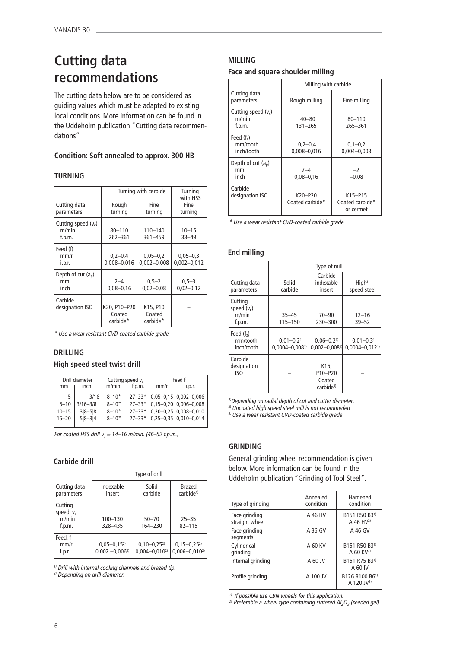## **Cutting data recommendations**

The cutting data below are to be considered as guiding values which must be adapted to existing local conditions. More information can be found in the Uddeholm publication "Cutting data recommendations"

## **Condition: Soft annealed to approx. 300 HB**

## **TURNING**

| Cutting data<br>parameters               | Turning with carbide<br>Rough<br>turning | Turning<br>with HSS<br>Fine<br>turning |                                 |
|------------------------------------------|------------------------------------------|----------------------------------------|---------------------------------|
| Cutting speed $(v_c)$<br>m/min<br>f.p.m. | $80 - 110$<br>262-361                    | $110 - 140$<br>$361 - 459$             | $10 - 15$<br>$33 - 49$          |
| Feed (f)<br>mm/r<br>i.p.r.               | $0,2-0,4$<br>$0,008 - 0,016$             | $0,05 - 0,2$<br>$0,002 - 0,008$        | $0,05 - 0,3$<br>$0,002 - 0,012$ |
| Depth of cut $(a_n)$<br>mm<br>inch       | $2 - 4$<br>$0.08 - 0.16$                 | $0,5 - 2$<br>$0.02 - 0.08$             | $0,5 - 3$<br>$0,02 - 0,12$      |
| Carbide<br>designation ISO               | K20, P10-P20<br>Coated<br>carbide*       | K15, P10<br>Coated<br>carbide*         |                                 |

\* Use a wear resistant CVD-coated carbide grade

## **DRILLING**

## **High speed steel twist drill**

| Drill diameter<br>Cutting speed $v_c$<br>$m/min$ .<br>inch<br>mm |                                                   | f.p.m.                                           | Feed f<br>mm/r<br>i.p.r.                             |  |                                                                                                          |
|------------------------------------------------------------------|---------------------------------------------------|--------------------------------------------------|------------------------------------------------------|--|----------------------------------------------------------------------------------------------------------|
| $-5$<br>$5 - 10$<br>$10 - 15$<br>$15 - 20$                       | $-3/16$<br>$3/16 - 3/8$<br>$3 8-5 8$<br>$5 8-3 4$ | $8 - 10*$<br>$8 - 10*$<br>$8 - 10*$<br>$8 - 10*$ | $27 - 33*$<br>$27 - 33*$<br>$27 - 33*$<br>$27 - 33*$ |  | $0,05-0,15$ 0,002-0,006<br>$0,15-0,20$ 0,006-0,008<br>$0,20-0,25$ 0,008-0,010<br>$0,25-0,35$ 0,010-0,014 |

For coated HSS drill  $v = 14-16$  m/min. (46-52 f.p.m.)

## **Carbide drill**

|                                            | Type of drill                           |                                        |                                        |  |  |  |
|--------------------------------------------|-----------------------------------------|----------------------------------------|----------------------------------------|--|--|--|
| Cutting data<br>parameters                 | Indexable<br>insert                     | Solid<br>carbide                       | Brazed<br>carbide <sup>1)</sup>        |  |  |  |
| Cutting<br>speed, $v_c$<br>m/min<br>f.p.m. | $100 - 130$<br>328-435                  | $50 - 70$<br>164-230                   | $25 - 35$<br>$82 - 115$                |  |  |  |
| Feed, f<br>mm/r<br>i.p.r.                  | $0,05 - 0,15^{2}$<br>$0,002 -0,006^{2}$ | $0,10-0,25^{2}$<br>$0.004 - 0.010^{2}$ | $0,15-0,25^{2}$<br>$0,006 - 0,010^{2}$ |  |  |  |

 $1)$  Drill with internal cooling channels and brazed tip.

2) Depending on drill diameter.

## **MILLING**

## **Face and square shoulder milling**

|                                          | Milling with carbide         |                                         |  |  |  |
|------------------------------------------|------------------------------|-----------------------------------------|--|--|--|
| Cutting data<br>parameters               | Rough milling                | Fine milling                            |  |  |  |
| Cutting speed $(v_c)$<br>m/min<br>f.p.m. | $40 - 80$<br>131-265         | $80 - 110$<br>$265 - 361$               |  |  |  |
| Feed $(fz)$<br>mm/tooth<br>inch/tooth    | $0,2-0,4$<br>$0.008 - 0.016$ | $0,1-0,2$<br>$0.004 - 0.008$            |  |  |  |
| Depth of cut $(a_n)$<br>mm<br>inch       | $2 - 4$<br>$0.08 - 0.16$     | $-2$<br>$-0.08$                         |  |  |  |
| Carbide<br>designation ISO               | K20-P20<br>Coated carbide*   | K15-P15<br>Coated carbide*<br>or cermet |  |  |  |

\* Use a wear resistant CVD-coated carbide grade

## **End milling**

|                                            | Type of mill                                               |                                                   |                                                            |  |  |  |
|--------------------------------------------|------------------------------------------------------------|---------------------------------------------------|------------------------------------------------------------|--|--|--|
| Cutting data<br>parameters                 | Solid<br>carbide                                           | Carbide<br>indexable<br>insert                    | High <sup>2</sup><br>speed steel                           |  |  |  |
| Cutting<br>speed $(vc)$<br>m/min<br>f.p.m. | $35 - 45$<br>115-150                                       | $70 - 90$<br>230-300                              | $12 - 16$<br>$39 - 52$                                     |  |  |  |
| Feed $(f2)$<br>mm/tooth<br>inch/tooth      | $0,01-0,2$ <sup>1)</sup><br>$0.0004 - 0.008$ <sup>1)</sup> | $0,06 - 0,21$<br>$0.002 - 0.008$ <sup>1)</sup>    | $0,01-0,3$ <sup>1)</sup><br>$0.0004 - 0.012$ <sup>1)</sup> |  |  |  |
| Carbide<br>designation<br>ISO              |                                                            | K15,<br>P10-P20<br>Coated<br>carbide <sup>3</sup> |                                                            |  |  |  |

<sup>1)</sup> Depending on radial depth of cut and cutter diameter.

<sup>2)</sup> Uncoated high speed steel mill is not recommeded

3) Use a wear resistant CVD-coated carbide grade

## **GRINDING**

General grinding wheel recommendation is given below. More information can be found in the Uddeholm publication "Grinding of Tool Steel".

| Type of grinding                | Annealed<br>condition | Hardened<br>condition                      |
|---------------------------------|-----------------------|--------------------------------------------|
| Face grinding<br>straight wheel | A 46 HV               | B151 R50 B31)<br>A 46 HV <sup>2)</sup>     |
| Face grinding<br>segments       | A 36 GV               | A 46 GV                                    |
| Cylindrical<br>grinding         | A 60 KV               | B151 R50 B3 <sup>1)</sup><br>A 60 $KV^{2}$ |
| Internal grinding               | A 60 JV               | B151 R75 B31)<br>A 60 IV                   |
| Profile grinding                | A 100 JV              | B126 R100 B61)<br>A 120 JV <sup>2)</sup>   |

 $1)$  If possible use CBN wheels for this application.

<sup>2)</sup> Preferable a wheel type containing sintered  $Al_2O_3$  (seeded gel)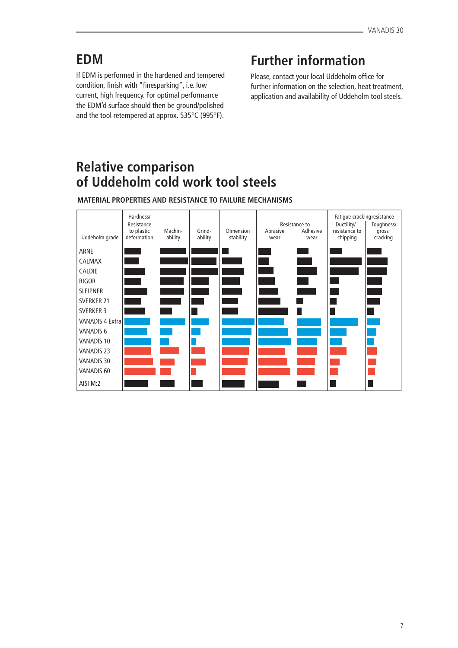## **EDM**

If EDM is performed in the hardened and tempered condition, finish with "finesparking", i.e. low current, high frequency. For optimal performance the EDM'd surface should then be ground/polished and the tool retempered at approx. 535°C (995°F).

## **Further information**

Please, contact your local Uddeholm office for further information on the selection, heat treatment, application and availability of Uddeholm tool steels.

## **Relative comparison of Uddeholm cold work tool steels**

| Uddeholm grade          | Hardness/<br>Resistance<br>to plastic<br>deformation | Machin-<br>ability | Grind-<br>ability | Dimension<br>stability                                                                   | Abrasive<br>wear                                                                                               | Resistance to<br>Adhesive<br>wear                                                                              | Fatigue crackingresistance<br>Ductility/<br>resistance to<br>chipping | Toughness/<br>gross<br>cracking                                                                                |
|-------------------------|------------------------------------------------------|--------------------|-------------------|------------------------------------------------------------------------------------------|----------------------------------------------------------------------------------------------------------------|----------------------------------------------------------------------------------------------------------------|-----------------------------------------------------------------------|----------------------------------------------------------------------------------------------------------------|
| ARNE                    |                                                      |                    |                   |                                                                                          |                                                                                                                |                                                                                                                |                                                                       |                                                                                                                |
| CALMAX                  |                                                      |                    |                   |                                                                                          |                                                                                                                | <b>Service Service</b>                                                                                         |                                                                       |                                                                                                                |
| <b>CALDIE</b>           |                                                      |                    |                   |                                                                                          |                                                                                                                |                                                                                                                |                                                                       |                                                                                                                |
| <b>RIGOR</b>            |                                                      |                    |                   |                                                                                          | <b>Contract</b>                                                                                                | and the state of the state of the state of the state of the state of the state of the state of the state of th |                                                                       | and the state of the state of the state of the state of the state of the state of the state of the state of th |
| <b>SLEIPNER</b>         |                                                      |                    |                   | $\mathcal{L}(\mathcal{L})$ and $\mathcal{L}(\mathcal{L})$ and $\mathcal{L}(\mathcal{L})$ | and the state of the state of the state of the state of the state of the state of the state of the state of th | <b>Service Service</b>                                                                                         |                                                                       | and the state of the state of the state of the state of the state of the state of the state of the state of th |
| <b>SVERKER 21</b>       |                                                      |                    |                   |                                                                                          |                                                                                                                |                                                                                                                |                                                                       |                                                                                                                |
| <b>SVERKER 3</b>        |                                                      |                    |                   |                                                                                          |                                                                                                                |                                                                                                                |                                                                       |                                                                                                                |
| <b>VANADIS 4 Extral</b> |                                                      |                    |                   |                                                                                          |                                                                                                                |                                                                                                                |                                                                       |                                                                                                                |
| VANADIS 6               |                                                      |                    |                   |                                                                                          |                                                                                                                |                                                                                                                |                                                                       |                                                                                                                |
| <b>VANADIS 10</b>       |                                                      |                    |                   |                                                                                          |                                                                                                                |                                                                                                                |                                                                       |                                                                                                                |
| <b>VANADIS 23</b>       |                                                      |                    |                   |                                                                                          |                                                                                                                |                                                                                                                |                                                                       |                                                                                                                |
| <b>VANADIS 30</b>       |                                                      |                    |                   |                                                                                          |                                                                                                                |                                                                                                                |                                                                       |                                                                                                                |
| VANADIS 60              |                                                      |                    |                   |                                                                                          |                                                                                                                |                                                                                                                |                                                                       |                                                                                                                |
| AISI M:2                |                                                      |                    |                   |                                                                                          |                                                                                                                |                                                                                                                |                                                                       |                                                                                                                |

**MATERIAL PROPERTIES AND RESISTANCE TO FAILURE MECHANISMS**